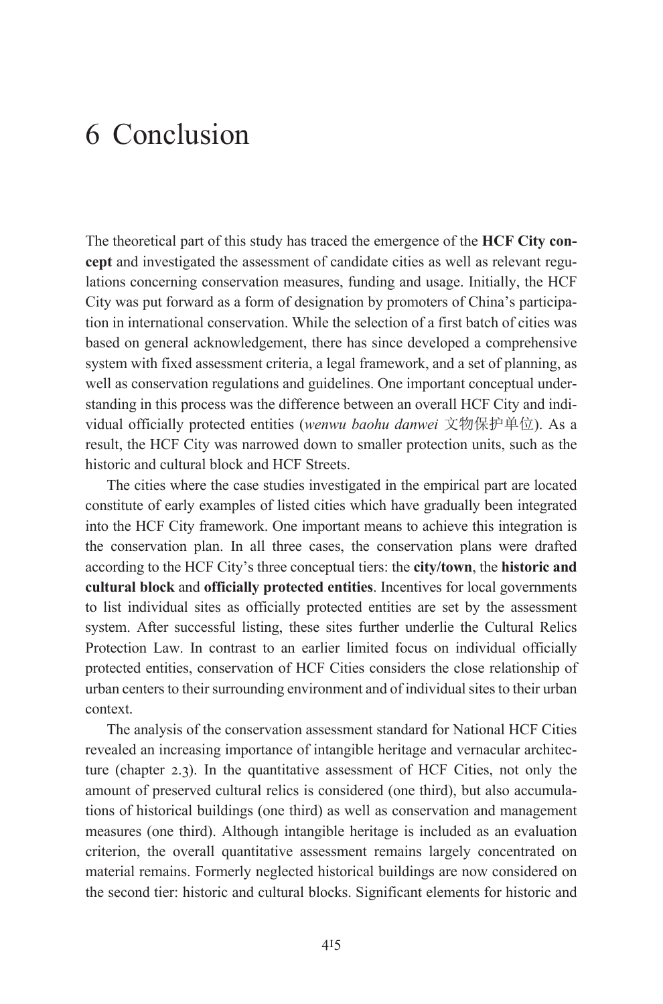The theoretical part of this study has traced the emergence of the **HCF City concept** and investigated the assessment of candidate cities as well as relevant regulations concerning conservation measures, funding and usage. Initially, the HCF City was put forward as a form of designation by promoters of China's participation in international conservation. While the selection of a first batch of cities was based on general acknowledgement, there has since developed a comprehensive system with fixed assessment criteria, a legal framework, and a set of planning, as well as conservation regulations and guidelines. One important conceptual understanding in this process was the difference between an overall HCF City and individual officially protected entities (wenwu baohu danwei 文物保护单位). As a result, the HCF City was narrowed down to smaller protection units, such as the historic and cultural block and HCF Streets.

The cities where the case studies investigated in the empirical part are located constitute of early examples of listed cities which have gradually been integrated into the HCF City framework. One important means to achieve this integration is the conservation plan. In all three cases, the conservation plans were drafted according to the HCF City's three conceptual tiers: the **city/town**, the **historic and cultural block** and **officially protected entities**. Incentives for local governments to list individual sites as officially protected entities are set by the assessment system. After successful listing, these sites further underlie the Cultural Relics Protection Law. In contrast to an earlier limited focus on individual officially protected entities, conservation of HCF Cities considers the close relationship of urban centers to their surrounding environment and of individual sites to their urban context.

The analysis of the conservation assessment standard for National HCF Cities revealed an increasing importance of intangible heritage and vernacular architecture (chapter 2.3). In the quantitative assessment of HCF Cities, not only the amount of preserved cultural relics is considered (one third), but also accumulations of historical buildings (one third) as well as conservation and management measures (one third). Although intangible heritage is included as an evaluation criterion, the overall quantitative assessment remains largely concentrated on material remains. Formerly neglected historical buildings are now considered on the second tier: historic and cultural blocks. Significant elements for historic and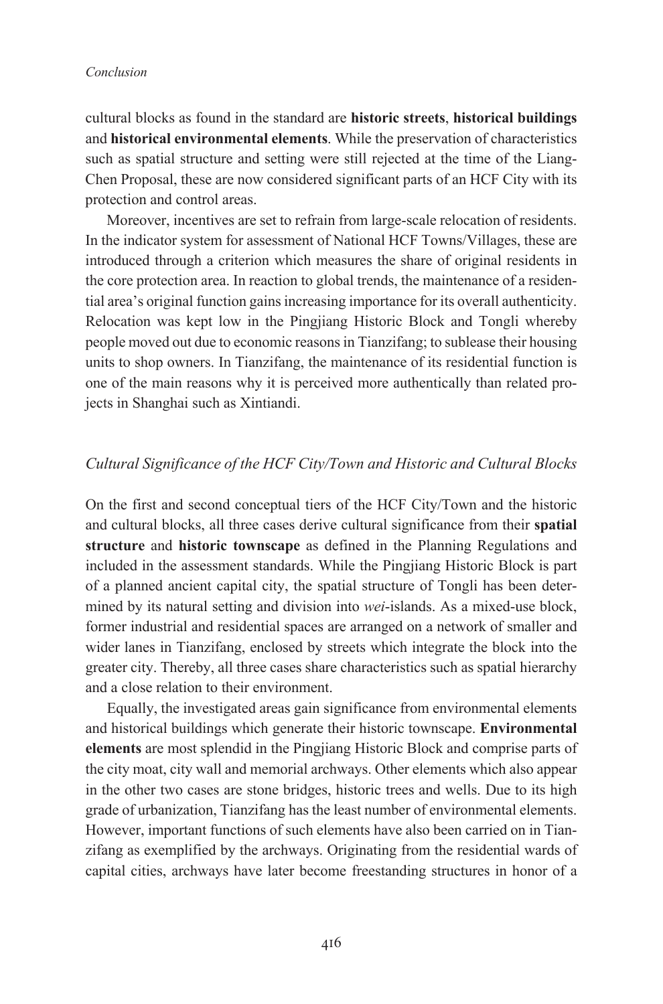cultural blocks as found in the standard are **historic streets**, **historical buildings** and **historical environmental elements**. While the preservation of characteristics such as spatial structure and setting were still rejected at the time of the Liang-Chen Proposal, these are now considered significant parts of an HCF City with its protection and control areas.

Moreover, incentives are set to refrain from large-scale relocation of residents. In the indicator system for assessment of National HCF Towns/Villages, these are introduced through a criterion which measures the share of original residents in the core protection area. In reaction to global trends, the maintenance of a residential area's original function gainsincreasing importance for its overall authenticity. Relocation was kept low in the Pingjiang Historic Block and Tongli whereby people moved out due to economic reasons in Tianzifang; to sublease their housing units to shop owners. In Tianzifang, the maintenance of its residential function is one of the main reasons why it is perceived more authentically than related projects in Shanghai such as Xintiandi.

# *Cultural Significance of the HCF City/Town and Historic and Cultural Blocks*

On the first and second conceptual tiers of the HCF City/Town and the historic and cultural blocks, all three cases derive cultural significance from their **spatial structure** and **historic townscape** as defined in the Planning Regulations and included in the assessment standards. While the Pingjiang Historic Block is part of a planned ancient capital city, the spatial structure of Tongli has been determined by its natural setting and division into *wei*-islands. As a mixed-use block, former industrial and residential spaces are arranged on a network of smaller and wider lanes in Tianzifang, enclosed by streets which integrate the block into the greater city. Thereby, all three cases share characteristics such as spatial hierarchy and a close relation to their environment.

Equally, the investigated areas gain significance from environmental elements and historical buildings which generate their historic townscape. **Environmental elements** are most splendid in the Pingjiang Historic Block and comprise parts of the city moat, city wall and memorial archways. Other elements which also appear in the other two cases are stone bridges, historic trees and wells. Due to its high grade of urbanization, Tianzifang has the least number of environmental elements. However, important functions of such elements have also been carried on in Tianzifang as exemplified by the archways. Originating from the residential wards of capital cities, archways have later become freestanding structures in honor of a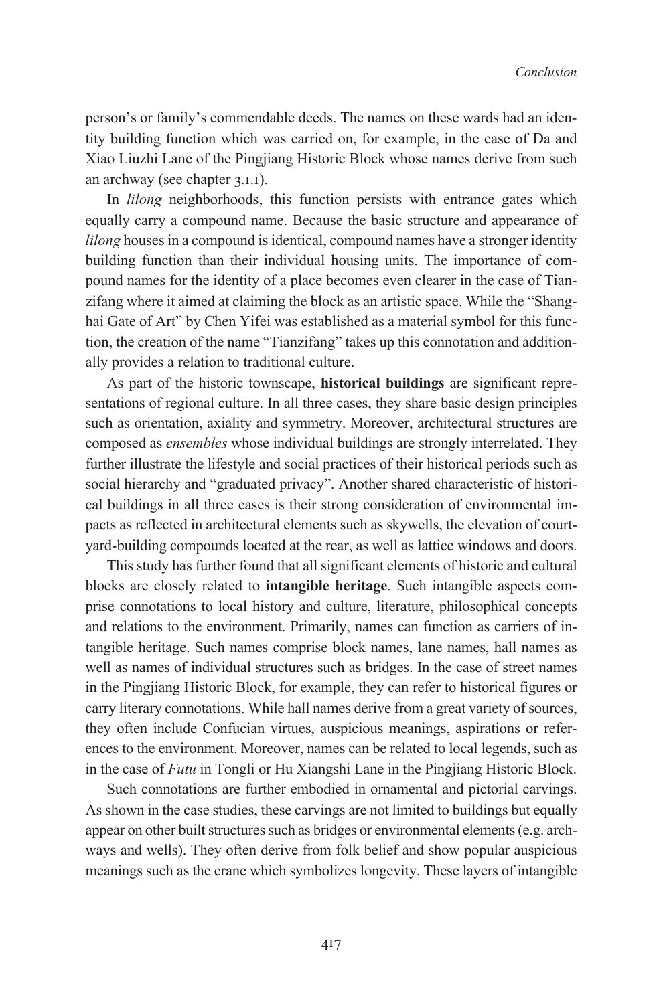person's or family's commendable deeds. The names on these wards had an identity building function which was carried on, for example, in the case of Da and Xiao Liuzhi Lane of the Pingjiang Historic Block whose names derive from such an archway (see chapter  $3.1.1$ ).

In *lilong* neighborhoods, this function persists with entrance gates which equally carry a compound name. Because the basic structure and appearance of *lilong* houses in a compound is identical, compound names have a stronger identity building function than their individual housing units. The importance of compound names for the identity of a place becomes even clearer in the case of Tianzifang where it aimed at claiming the block as an artistic space. While the "Shanghai Gate of Art" by Chen Yifei was established as a material symbol for this function, the creation of the name "Tianzifang" takes up this connotation and additionally provides a relation to traditional culture.

As part of the historic townscape, **historical buildings** are significant representations of regional culture. In all three cases, they share basic design principles such as orientation, axiality and symmetry. Moreover, architectural structures are composed as *ensembles* whose individual buildings are strongly interrelated. They further illustrate the lifestyle and social practices of their historical periods such as social hierarchy and "graduated privacy". Another shared characteristic of historical buildings in all three cases is their strong consideration of environmental impacts as reflected in architectural elements such as skywells, the elevation of courtyard-building compounds located at the rear, as well as lattice windows and doors.

This study has further found that all significant elements of historic and cultural blocks are closely related to **intangible heritage**. Such intangible aspects comprise connotations to local history and culture, literature, philosophical concepts and relations to the environment. Primarily, names can function as carriers of intangible heritage. Such names comprise block names, lane names, hall names as well as names of individual structures such as bridges. In the case of street names in the Pingjiang Historic Block, for example, they can refer to historical figures or carry literary connotations. While hall names derive from a great variety of sources, they often include Confucian virtues, auspicious meanings, aspirations or references to the environment. Moreover, names can be related to local legends, such as in the case of *Futu* in Tongli or Hu Xiangshi Lane in the Pingjiang Historic Block.

Such connotations are further embodied in ornamental and pictorial carvings. As shown in the case studies, these carvings are not limited to buildings but equally appear on other built structures such as bridges or environmental elements(e.g. archways and wells). They often derive from folk belief and show popular auspicious meanings such as the crane which symbolizes longevity. These layers of intangible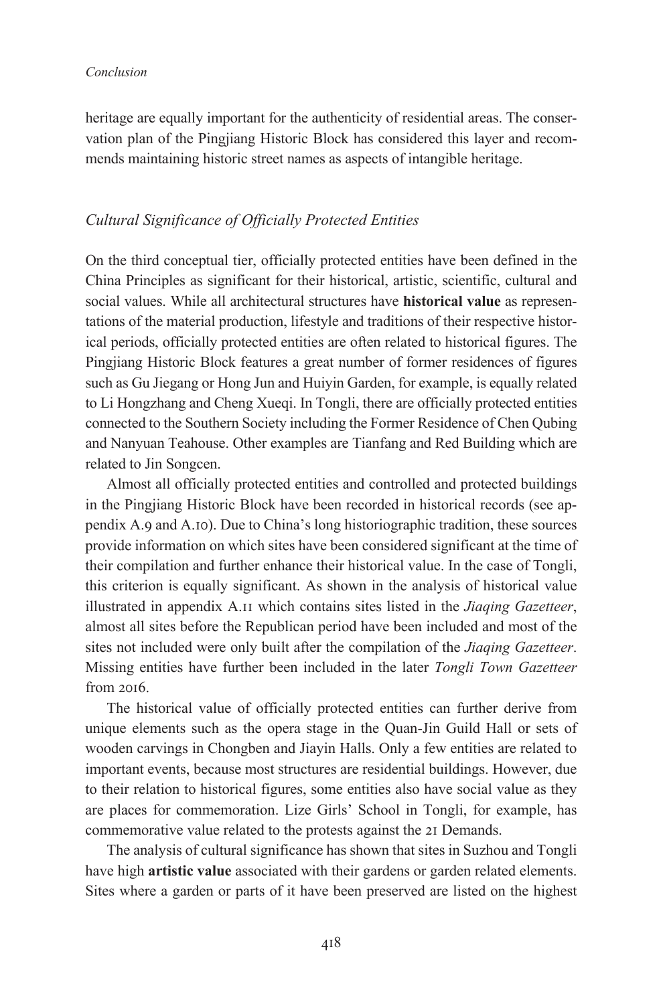heritage are equally important for the authenticity of residential areas. The conservation plan of the Pingjiang Historic Block has considered this layer and recommends maintaining historic street names as aspects of intangible heritage.

#### *Cultural Significance of Officially Protected Entities*

On the third conceptual tier, officially protected entities have been defined in the China Principles as significant for their historical, artistic, scientific, cultural and social values. While all architectural structures have **historical value** as representations of the material production, lifestyle and traditions of their respective historical periods, officially protected entities are often related to historical figures. The Pingjiang Historic Block features a great number of former residences of figures such as Gu Jiegang or Hong Jun and Huiyin Garden, for example, is equally related to Li Hongzhang and Cheng Xueqi. In Tongli, there are officially protected entities connected to the Southern Society including the Former Residence of Chen Qubing and Nanyuan Teahouse. Other examples are Tianfang and Red Building which are related to Jin Songcen.

Almost all officially protected entities and controlled and protected buildings in the Pingjiang Historic Block have been recorded in historical records (see appendix A.9 and A.10). Due to China's long historiographic tradition, these sources provide information on which sites have been considered significant at the time of their compilation and further enhance their historical value. In the case of Tongli, this criterion is equally significant. As shown in the analysis of historical value illustrated in appendix A.<sub>II</sub> which contains sites listed in the *Jiaqing Gazetteer*, almost all sites before the Republican period have been included and most of the sites not included were only built after the compilation of the *Jiaqing Gazetteer*. Missing entities have further been included in the later *Tongli Town Gazetteer*  $from 2016.$ 

The historical value of officially protected entities can further derive from unique elements such as the opera stage in the Quan-Jin Guild Hall or sets of wooden carvings in Chongben and Jiayin Halls. Only a few entities are related to important events, because most structures are residential buildings. However, due to their relation to historical figures, some entities also have social value as they are places for commemoration. Lize Girls' School in Tongli, for example, has commemorative value related to the protests against the 21 Demands.

The analysis of cultural significance has shown that sites in Suzhou and Tongli have high **artistic value** associated with their gardens or garden related elements. Sites where a garden or parts of it have been preserved are listed on the highest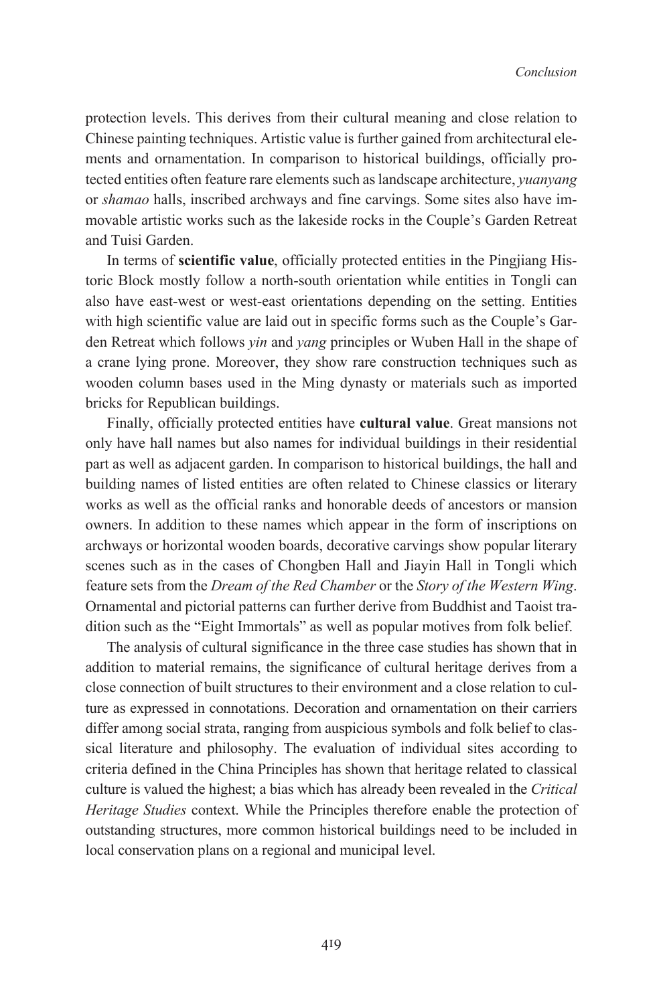protection levels. This derives from their cultural meaning and close relation to Chinese painting techniques. Artistic value is further gained from architectural elements and ornamentation. In comparison to historical buildings, officially protected entities often feature rare elements such as landscape architecture, *yuanyang* or *shamao* halls, inscribed archways and fine carvings. Some sites also have immovable artistic works such as the lakeside rocks in the Couple's Garden Retreat and Tuisi Garden.

In terms of **scientific value**, officially protected entities in the Pingjiang Historic Block mostly follow a north-south orientation while entities in Tongli can also have east-west or west-east orientations depending on the setting. Entities with high scientific value are laid out in specific forms such as the Couple's Garden Retreat which follows *yin* and *yang* principles or Wuben Hall in the shape of a crane lying prone. Moreover, they show rare construction techniques such as wooden column bases used in the Ming dynasty or materials such as imported bricks for Republican buildings.

Finally, officially protected entities have **cultural value**. Great mansions not only have hall names but also names for individual buildings in their residential part as well as adjacent garden. In comparison to historical buildings, the hall and building names of listed entities are often related to Chinese classics or literary works as well as the official ranks and honorable deeds of ancestors or mansion owners. In addition to these names which appear in the form of inscriptions on archways or horizontal wooden boards, decorative carvings show popular literary scenes such as in the cases of Chongben Hall and Jiayin Hall in Tongli which feature sets from the *Dream of the Red Chamber* or the *Story of the Western Wing*. Ornamental and pictorial patterns can further derive from Buddhist and Taoist tradition such as the "Eight Immortals" as well as popular motives from folk belief.

The analysis of cultural significance in the three case studies has shown that in addition to material remains, the significance of cultural heritage derives from a close connection of built structures to their environment and a close relation to culture as expressed in connotations. Decoration and ornamentation on their carriers differ among social strata, ranging from auspicious symbols and folk belief to classical literature and philosophy. The evaluation of individual sites according to criteria defined in the China Principles has shown that heritage related to classical culture is valued the highest; a bias which has already been revealed in the *Critical Heritage Studies* context. While the Principles therefore enable the protection of outstanding structures, more common historical buildings need to be included in local conservation plans on a regional and municipal level.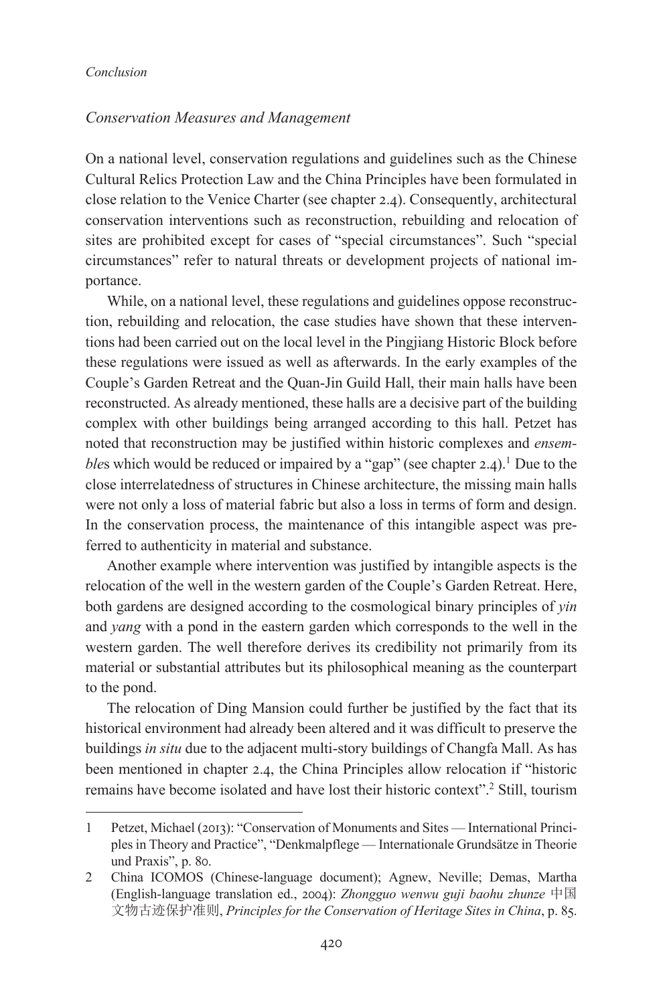### *Conservation Measures and Management*

On a national level, conservation regulations and guidelines such as the Chinese Cultural Relics Protection Law and the China Principles have been formulated in close relation to the Venice Charter (see chapter  $(2.4)$ ). Consequently, architectural conservation interventions such as reconstruction, rebuilding and relocation of sites are prohibited except for cases of "special circumstances". Such "special circumstances" refer to natural threats or development projects of national importance.

While, on a national level, these regulations and guidelines oppose reconstruction, rebuilding and relocation, the case studies have shown that these interventions had been carried out on the local level in the Pingjiang Historic Block before these regulations were issued as well as afterwards. In the early examples of the Couple's Garden Retreat and the Quan-Jin Guild Hall, their main halls have been reconstructed. As already mentioned, these halls are a decisive part of the building complex with other buildings being arranged according to this hall. Petzet has noted that reconstruction may be justified within historic complexes and *ensembles* which would be reduced or impaired by a "gap" (see chapter 2.4).<sup>1</sup> Due to the close interrelatedness of structures in Chinese architecture, the missing main halls were not only a loss of material fabric but also a loss in terms of form and design. In the conservation process, the maintenance of this intangible aspect was preferred to authenticity in material and substance.

Another example where intervention was justified by intangible aspects is the relocation of the well in the western garden of the Couple's Garden Retreat. Here, both gardens are designed according to the cosmological binary principles of *yin* and *yang* with a pond in the eastern garden which corresponds to the well in the western garden. The well therefore derives its credibility not primarily from its material or substantial attributes but its philosophical meaning as the counterpart to the pond.

The relocation of Ding Mansion could further be justified by the fact that its historical environment had already been altered and it was difficult to preserve the buildings *in situ* due to the adjacent multi-story buildings of Changfa Mall. As has been mentioned in chapter 2.4, the China Principles allow relocation if "historic remains have become isolated and have lost their historic context".2 Still, tourism

<sup>1</sup> Petzet, Michael (2013): "Conservation of Monuments and Sites — International Principles in Theory and Practice", "Denkmalpflege — Internationale Grundsätze in Theorie und Praxis", p. 80.

<sup>2</sup> China ICOMOS (Chinese-language document); Agnew, Neville; Demas, Martha (English-language translation ed., 2004): *Zhongguo wenwu guji baohu zhunze* 中国 文物古迹保护准则, Principles for the Conservation of Heritage Sites in China, p. 85.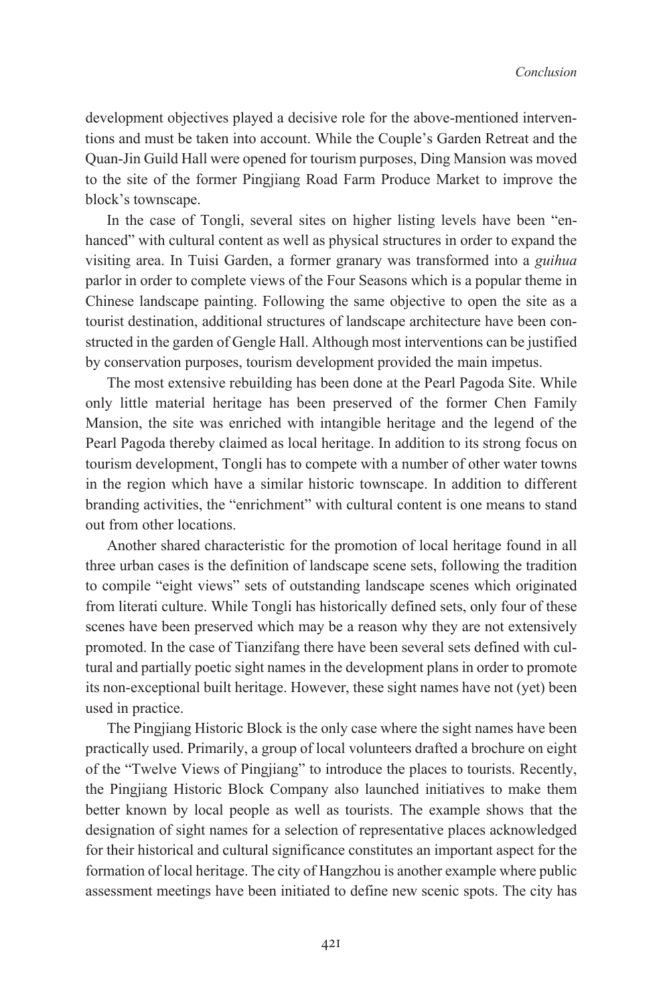development objectives played a decisive role for the above-mentioned interventions and must be taken into account. While the Couple's Garden Retreat and the Quan-Jin Guild Hall were opened for tourism purposes, Ding Mansion was moved to the site of the former Pingjiang Road Farm Produce Market to improve the block's townscape.

In the case of Tongli, several sites on higher listing levels have been "enhanced" with cultural content as well as physical structures in order to expand the visiting area. In Tuisi Garden, a former granary was transformed into a *guihua* parlor in order to complete views of the Four Seasons which is a popular theme in Chinese landscape painting. Following the same objective to open the site as a tourist destination, additional structures of landscape architecture have been constructed in the garden of Gengle Hall. Although most interventions can be justified by conservation purposes, tourism development provided the main impetus.

The most extensive rebuilding has been done at the Pearl Pagoda Site. While only little material heritage has been preserved of the former Chen Family Mansion, the site was enriched with intangible heritage and the legend of the Pearl Pagoda thereby claimed as local heritage. In addition to its strong focus on tourism development, Tongli has to compete with a number of other water towns in the region which have a similar historic townscape. In addition to different branding activities, the "enrichment" with cultural content is one means to stand out from other locations.

Another shared characteristic for the promotion of local heritage found in all three urban cases is the definition of landscape scene sets, following the tradition to compile "eight views" sets of outstanding landscape scenes which originated from literati culture. While Tongli has historically defined sets, only four of these scenes have been preserved which may be a reason why they are not extensively promoted. In the case of Tianzifang there have been several sets defined with cultural and partially poetic sight names in the development plans in order to promote its non-exceptional built heritage. However, these sight names have not (yet) been used in practice.

The Pingjiang Historic Block is the only case where the sight names have been practically used. Primarily, a group of local volunteers drafted a brochure on eight of the "Twelve Views of Pingjiang" to introduce the places to tourists. Recently, the Pingjiang Historic Block Company also launched initiatives to make them better known by local people as well as tourists. The example shows that the designation of sight names for a selection of representative places acknowledged for their historical and cultural significance constitutes an important aspect for the formation of local heritage. The city of Hangzhou is another example where public assessment meetings have been initiated to define new scenic spots. The city has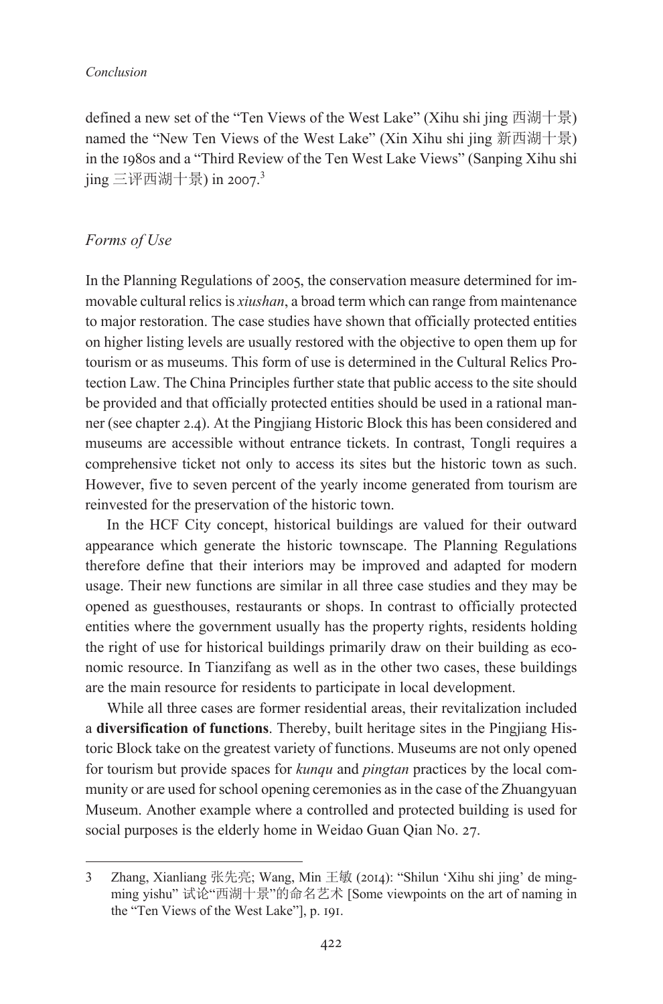defined a new set of the "Ten Views of the West Lake" (Xihu shi jing 西湖十景) named the "New Ten Views of the West Lake" (Xin Xihu shi jing 新西湖十景) in the 1980s and a "Third Review of the Ten West Lake Views" (Sanping Xihu shi jing 三评西湖十景) in 2007.<sup>3</sup>

## *Forms of Use*

In the Planning Regulations of 2005, the conservation measure determined for immovable cultural relicsis *xiushan*, a broad term which can range from maintenance to major restoration. The case studies have shown that officially protected entities on higher listing levels are usually restored with the objective to open them up for tourism or as museums. This form of use is determined in the Cultural Relics Protection Law. The China Principles further state that public access to the site should be provided and that officially protected entities should be used in a rational manner (see chapter 2.4). At the Pingjiang Historic Block this has been considered and museums are accessible without entrance tickets. In contrast, Tongli requires a comprehensive ticket not only to access its sites but the historic town as such. However, five to seven percent of the yearly income generated from tourism are reinvested for the preservation of the historic town.

In the HCF City concept, historical buildings are valued for their outward appearance which generate the historic townscape. The Planning Regulations therefore define that their interiors may be improved and adapted for modern usage. Their new functions are similar in all three case studies and they may be opened as guesthouses, restaurants or shops. In contrast to officially protected entities where the government usually has the property rights, residents holding the right of use for historical buildings primarily draw on their building as economic resource. In Tianzifang as well as in the other two cases, these buildings are the main resource for residents to participate in local development.

While all three cases are former residential areas, their revitalization included a **diversification of functions**. Thereby, built heritage sites in the Pingjiang Historic Block take on the greatest variety of functions. Museums are not only opened for tourism but provide spaces for *kunqu* and *pingtan* practices by the local community or are used for school opening ceremonies as in the case of the Zhuangyuan Museum. Another example where a controlled and protected building is used for social purposes is the elderly home in Weidao Guan Qian No. 27.

<sup>3</sup> Zhang, Xianliang 张先亮; Wang, Min 王敏 (2014): "Shilun 'Xihu shi jing' de mingming yishu" 试论"西湖十景"的命名艺术 [Some viewpoints on the art of naming in the "Ten Views of the West Lake"], p. 191.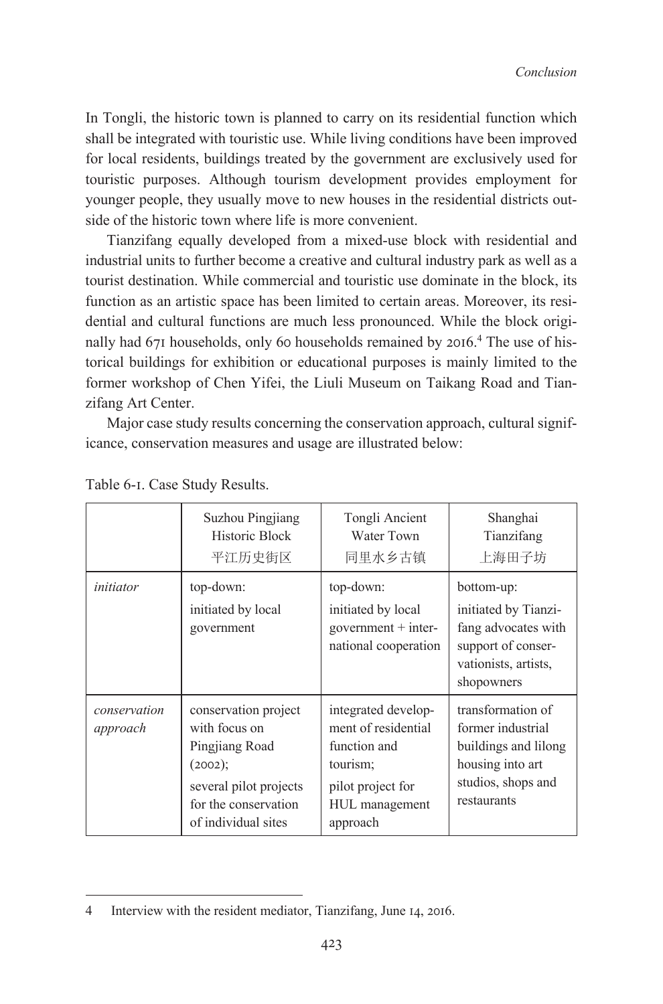In Tongli, the historic town is planned to carry on its residential function which shall be integrated with touristic use. While living conditions have been improved for local residents, buildings treated by the government are exclusively used for touristic purposes. Although tourism development provides employment for younger people, they usually move to new houses in the residential districts outside of the historic town where life is more convenient.

Tianzifang equally developed from a mixed-use block with residential and industrial units to further become a creative and cultural industry park as well as a tourist destination. While commercial and touristic use dominate in the block, its function as an artistic space has been limited to certain areas. Moreover, its residential and cultural functions are much less pronounced. While the block originally had  $671$  households, only 60 households remained by  $2016<sup>4</sup>$ . The use of historical buildings for exhibition or educational purposes is mainly limited to the former workshop of Chen Yifei, the Liuli Museum on Taikang Road and Tianzifang Art Center.

Major case study results concerning the conservation approach, cultural significance, conservation measures and usage are illustrated below:

|                          | Suzhou Pingjiang<br>Historic Block<br>平江历史街区                                                                                                | Tongli Ancient<br>Water Town<br>同里水乡古镇                                                                                    | Shanghai<br>Tianzifang<br>上海田子坊                                                                                         |
|--------------------------|---------------------------------------------------------------------------------------------------------------------------------------------|---------------------------------------------------------------------------------------------------------------------------|-------------------------------------------------------------------------------------------------------------------------|
| initiator                | top-down:<br>initiated by local<br>government                                                                                               | top-down:<br>initiated by local<br>government $+$ inter-<br>national cooperation                                          | bottom-up:<br>initiated by Tianzi-<br>fang advocates with<br>support of conser-<br>vationists, artists,<br>shopowners   |
| conservation<br>approach | conservation project<br>with focus on<br>Pingjiang Road<br>(2002);<br>several pilot projects<br>for the conservation<br>of individual sites | integrated develop-<br>ment of residential<br>function and<br>tourism;<br>pilot project for<br>HUL management<br>approach | transformation of<br>former industrial<br>buildings and lilong<br>housing into art<br>studios, shops and<br>restaurants |

Table 6-1. Case Study Results.

<sup>4</sup> Interview with the resident mediator, Tianzifang, June 14, 2016.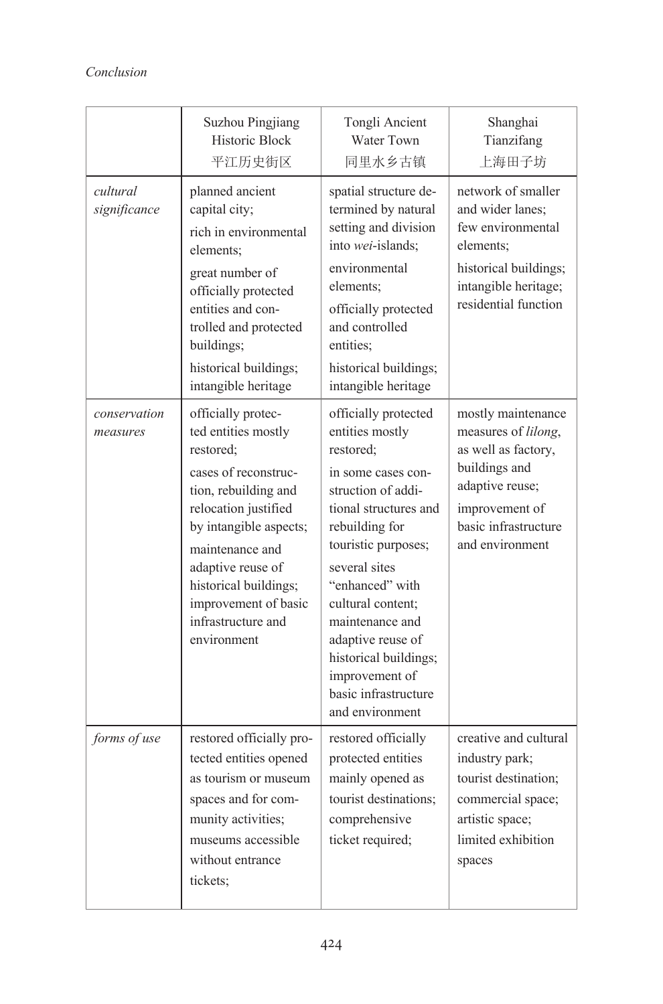|                          | Suzhou Pingjiang<br>Historic Block<br>平江历史街区                                                                                                                                                                                                                                           | Tongli Ancient<br>Water Town<br>同里水乡古镇                                                                                                                                                                                                                                                                                                                    | Shanghai<br>Tianzifang<br>上海田子坊                                                                                                                                   |
|--------------------------|----------------------------------------------------------------------------------------------------------------------------------------------------------------------------------------------------------------------------------------------------------------------------------------|-----------------------------------------------------------------------------------------------------------------------------------------------------------------------------------------------------------------------------------------------------------------------------------------------------------------------------------------------------------|-------------------------------------------------------------------------------------------------------------------------------------------------------------------|
| cultural<br>significance | planned ancient<br>capital city;<br>rich in environmental<br>elements;<br>great number of<br>officially protected<br>entities and con-<br>trolled and protected<br>buildings;<br>historical buildings;<br>intangible heritage                                                          | spatial structure de-<br>termined by natural<br>setting and division<br>into wei-islands;<br>environmental<br>elements:<br>officially protected<br>and controlled<br>entities:<br>historical buildings;<br>intangible heritage                                                                                                                            | network of smaller<br>and wider lanes;<br>few environmental<br>elements;<br>historical buildings;<br>intangible heritage;<br>residential function                 |
| conservation<br>measures | officially protec-<br>ted entities mostly<br>restored;<br>cases of reconstruc-<br>tion, rebuilding and<br>relocation justified<br>by intangible aspects;<br>maintenance and<br>adaptive reuse of<br>historical buildings;<br>improvement of basic<br>infrastructure and<br>environment | officially protected<br>entities mostly<br>restored;<br>in some cases con-<br>struction of addi-<br>tional structures and<br>rebuilding for<br>touristic purposes;<br>several sites<br>"enhanced" with<br>cultural content;<br>maintenance and<br>adaptive reuse of<br>historical buildings;<br>improvement of<br>basic infrastructure<br>and environment | mostly maintenance<br>measures of lilong,<br>as well as factory,<br>buildings and<br>adaptive reuse;<br>improvement of<br>basic infrastructure<br>and environment |
| forms of use             | restored officially pro-<br>tected entities opened<br>as tourism or museum<br>spaces and for com-<br>munity activities;<br>museums accessible<br>without entrance<br>tickets;                                                                                                          | restored officially<br>protected entities<br>mainly opened as<br>tourist destinations;<br>comprehensive<br>ticket required;                                                                                                                                                                                                                               | creative and cultural<br>industry park;<br>tourist destination;<br>commercial space;<br>artistic space;<br>limited exhibition<br>spaces                           |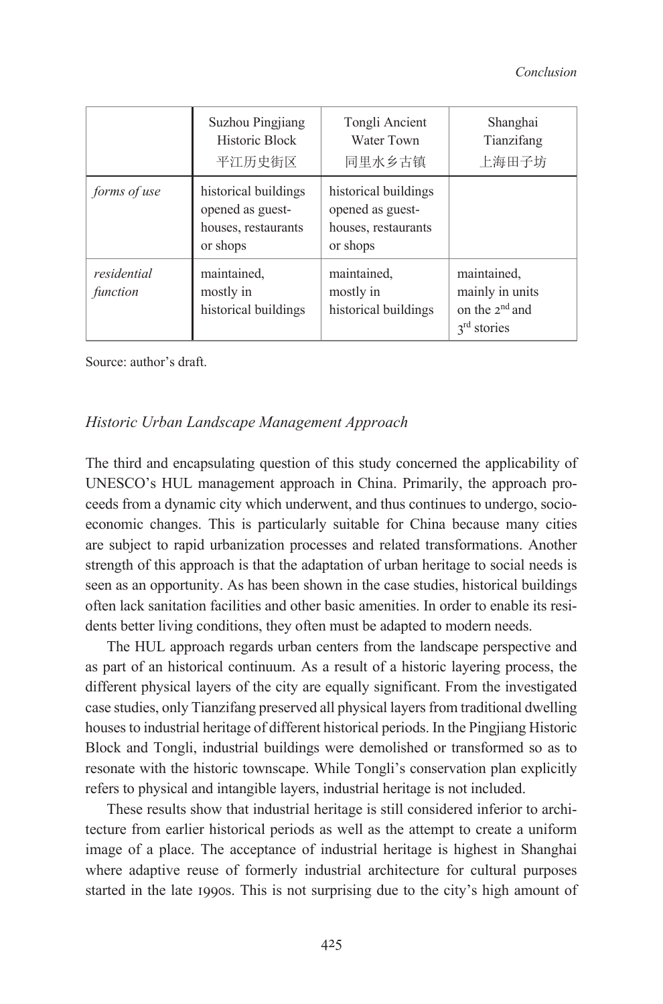|                         | Suzhou Pingjiang<br>Historic Block<br>平江历史街区                                | Tongli Ancient<br>Water Town<br>同里水乡古镇                                      | Shanghai<br>Tianzifang<br>上海田子坊                                                  |
|-------------------------|-----------------------------------------------------------------------------|-----------------------------------------------------------------------------|----------------------------------------------------------------------------------|
| forms of use            | historical buildings<br>opened as guest-<br>houses, restaurants<br>or shops | historical buildings<br>opened as guest-<br>houses, restaurants<br>or shops |                                                                                  |
| residential<br>function | maintained.<br>mostly in<br>historical buildings                            | maintained.<br>mostly in<br>historical buildings                            | maintained.<br>mainly in units<br>on the $2^{nd}$ and<br>3 <sup>rd</sup> stories |

Source: author's draft.

## *Historic Urban Landscape Management Approach*

The third and encapsulating question of this study concerned the applicability of UNESCO's HUL management approach in China. Primarily, the approach proceeds from a dynamic city which underwent, and thus continues to undergo, socioeconomic changes. This is particularly suitable for China because many cities are subject to rapid urbanization processes and related transformations. Another strength of this approach is that the adaptation of urban heritage to social needs is seen as an opportunity. As has been shown in the case studies, historical buildings often lack sanitation facilities and other basic amenities. In order to enable its residents better living conditions, they often must be adapted to modern needs.

The HUL approach regards urban centers from the landscape perspective and as part of an historical continuum. As a result of a historic layering process, the different physical layers of the city are equally significant. From the investigated case studies, only Tianzifang preserved all physical layers from traditional dwelling houses to industrial heritage of different historical periods. In the Pingjiang Historic Block and Tongli, industrial buildings were demolished or transformed so as to resonate with the historic townscape. While Tongli's conservation plan explicitly refers to physical and intangible layers, industrial heritage is not included.

These results show that industrial heritage is still considered inferior to architecture from earlier historical periods as well as the attempt to create a uniform image of a place. The acceptance of industrial heritage is highest in Shanghai where adaptive reuse of formerly industrial architecture for cultural purposes started in the late 1990s. This is not surprising due to the city's high amount of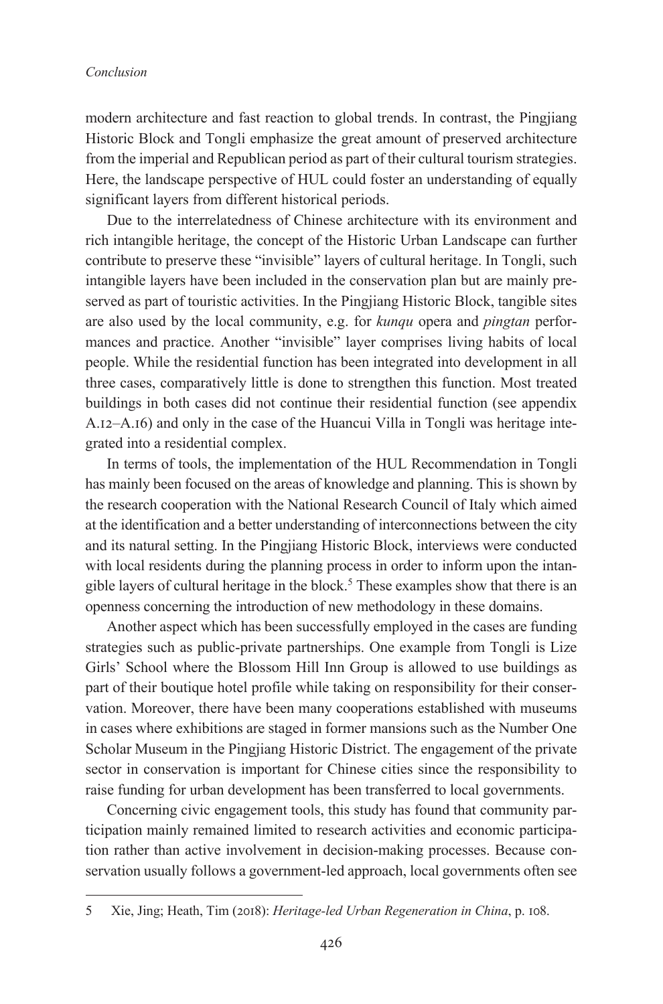modern architecture and fast reaction to global trends. In contrast, the Pingjiang Historic Block and Tongli emphasize the great amount of preserved architecture from the imperial and Republican period as part of their cultural tourism strategies. Here, the landscape perspective of HUL could foster an understanding of equally significant layers from different historical periods.

Due to the interrelatedness of Chinese architecture with its environment and rich intangible heritage, the concept of the Historic Urban Landscape can further contribute to preserve these "invisible" layers of cultural heritage. In Tongli, such intangible layers have been included in the conservation plan but are mainly preserved as part of touristic activities. In the Pingjiang Historic Block, tangible sites are also used by the local community, e.g. for *kunqu* opera and *pingtan* performances and practice. Another "invisible" layer comprises living habits of local people. While the residential function has been integrated into development in all three cases, comparatively little is done to strengthen this function. Most treated buildings in both cases did not continue their residential function (see appendix A.12–A.16) and only in the case of the Huancui Villa in Tongli was heritage integrated into a residential complex.

In terms of tools, the implementation of the HUL Recommendation in Tongli has mainly been focused on the areas of knowledge and planning. This is shown by the research cooperation with the National Research Council of Italy which aimed at the identification and a better understanding of interconnections between the city and its natural setting. In the Pingjiang Historic Block, interviews were conducted with local residents during the planning process in order to inform upon the intangible layers of cultural heritage in the block.<sup>5</sup> These examples show that there is an openness concerning the introduction of new methodology in these domains.

Another aspect which has been successfully employed in the cases are funding strategies such as public-private partnerships. One example from Tongli is Lize Girls' School where the Blossom Hill Inn Group is allowed to use buildings as part of their boutique hotel profile while taking on responsibility for their conservation. Moreover, there have been many cooperations established with museums in cases where exhibitions are staged in former mansions such as the Number One Scholar Museum in the Pingjiang Historic District. The engagement of the private sector in conservation is important for Chinese cities since the responsibility to raise funding for urban development has been transferred to local governments.

Concerning civic engagement tools, this study has found that community participation mainly remained limited to research activities and economic participation rather than active involvement in decision-making processes. Because conservation usually follows a government-led approach, local governments often see

<sup>5</sup> Xie, Jing; Heath, Tim (2018): *Heritage-led Urban Regeneration in China*, p. 108.